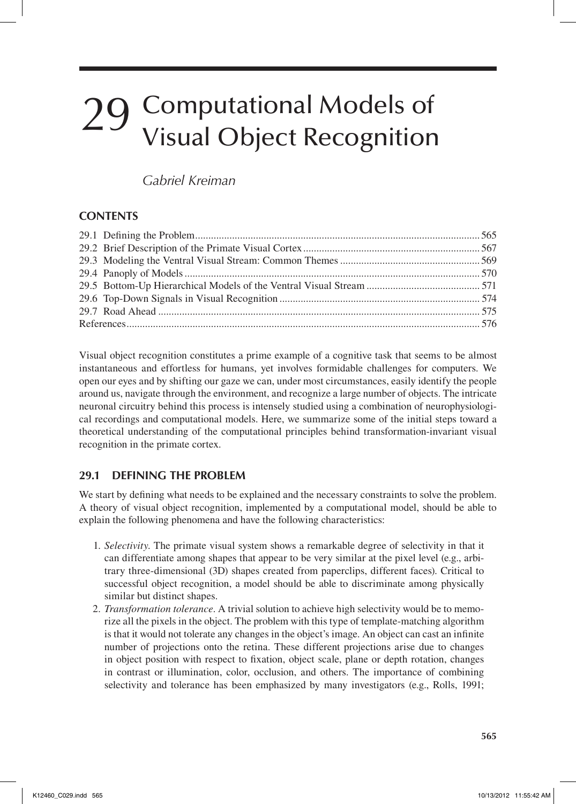# *Gabriel Kreiman*

# **Contents**

Visual object recognition constitutes a prime example of a cognitive task that seems to be almost instantaneous and effortless for humans, yet involves formidable challenges for computers. We open our eyes and by shifting our gaze we can, under most circumstances, easily identify the people around us, navigate through the environment, and recognize a large number of objects. The intricate neuronal circuitry behind this process is intensely studied using a combination of neurophysiological recordings and computational models. Here, we summarize some of the initial steps toward a theoretical understanding of the computational principles behind transformation-invariant visual recognition in the primate cortex.

# **29.1 Defining the Problem**

We start by defining what needs to be explained and the necessary constraints to solve the problem. A theory of visual object recognition, implemented by a computational model, should be able to explain the following phenomena and have the following characteristics:

- 1. *Selectivity*. The primate visual system shows a remarkable degree of selectivity in that it can differentiate among shapes that appear to be very similar at the pixel level (e.g., arbitrary three-dimensional (3D) shapes created from paperclips, different faces). Critical to successful object recognition, a model should be able to discriminate among physically similar but distinct shapes.
- 2. *Transformation tolerance*. A trivial solution to achieve high selectivity would be to memorize all the pixels in the object. The problem with this type of template-matching algorithm is that it would not tolerate any changes in the object's image. An object can cast an infinite number of projections onto the retina. These different projections arise due to changes in object position with respect to fixation, object scale, plane or depth rotation, changes in contrast or illumination, color, occlusion, and others. The importance of combining selectivity and tolerance has been emphasized by many investigators (e.g., Rolls, 1991;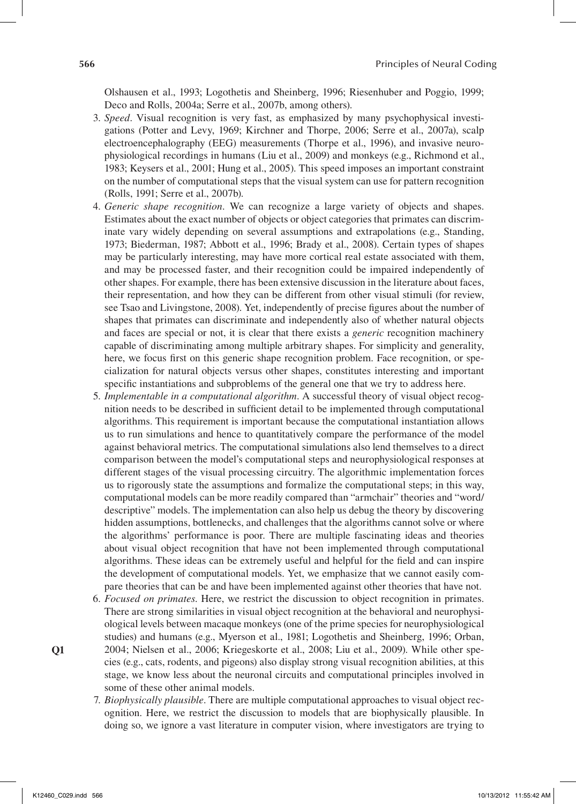Olshausen et al., 1993; Logothetis and Sheinberg, 1996; Riesenhuber and Poggio, 1999; Deco and Rolls, 2004a; Serre et al., 2007b, among others).

- 3. *Speed*. Visual recognition is very fast, as emphasized by many psychophysical investigations (Potter and Levy, 1969; Kirchner and Thorpe, 2006; Serre et al., 2007a), scalp electroencephalography (EEG) measurements (Thorpe et al., 1996), and invasive neurophysiological recordings in humans (Liu et al., 2009) and monkeys (e.g., Richmond et al., 1983; Keysers et al., 2001; Hung et al., 2005). This speed imposes an important constraint on the number of computational steps that the visual system can use for pattern recognition (Rolls, 1991; Serre et al., 2007b).
- 4. *Generic shape recognition*. We can recognize a large variety of objects and shapes. Estimates about the exact number of objects or object categories that primates can discriminate vary widely depending on several assumptions and extrapolations (e.g., Standing, 1973; Biederman, 1987; Abbott et al., 1996; Brady et al., 2008). Certain types of shapes may be particularly interesting, may have more cortical real estate associated with them, and may be processed faster, and their recognition could be impaired independently of other shapes. For example, there has been extensive discussion in the literature about faces, their representation, and how they can be different from other visual stimuli (for review, see Tsao and Livingstone, 2008). Yet, independently of precise figures about the number of shapes that primates can discriminate and independently also of whether natural objects and faces are special or not, it is clear that there exists a *generic* recognition machinery capable of discriminating among multiple arbitrary shapes. For simplicity and generality, here, we focus first on this generic shape recognition problem. Face recognition, or specialization for natural objects versus other shapes, constitutes interesting and important specific instantiations and subproblems of the general one that we try to address here.
- 5. *Implementable in a computational algorithm*. A successful theory of visual object recognition needs to be described in sufficient detail to be implemented through computational algorithms. This requirement is important because the computational instantiation allows us to run simulations and hence to quantitatively compare the performance of the model against behavioral metrics. The computational simulations also lend themselves to a direct comparison between the model's computational steps and neurophysiological responses at different stages of the visual processing circuitry. The algorithmic implementation forces us to rigorously state the assumptions and formalize the computational steps; in this way, computational models can be more readily compared than "armchair" theories and "word/ descriptive" models. The implementation can also help us debug the theory by discovering hidden assumptions, bottlenecks, and challenges that the algorithms cannot solve or where the algorithms' performance is poor. There are multiple fascinating ideas and theories about visual object recognition that have not been implemented through computational algorithms. These ideas can be extremely useful and helpful for the field and can inspire the development of computational models. Yet, we emphasize that we cannot easily compare theories that can be and have been implemented against other theories that have not.
- 6. *Focused on primates*. Here, we restrict the discussion to object recognition in primates. There are strong similarities in visual object recognition at the behavioral and neurophysiological levels between macaque monkeys (one of the prime species for neurophysiological studies) and humans (e.g., Myerson et al., 1981; Logothetis and Sheinberg, 1996; Orban,
- 2004; Nielsen et al., 2006; Kriegeskorte et al., 2008; Liu et al., 2009). While other species (e.g., cats, rodents, and pigeons) also display strong visual recognition abilities, at this stage, we know less about the neuronal circuits and computational principles involved in some of these other animal models.
	- 7. *Biophysically plausible*. There are multiple computational approaches to visual object recognition. Here, we restrict the discussion to models that are biophysically plausible. In doing so, we ignore a vast literature in computer vision, where investigators are trying to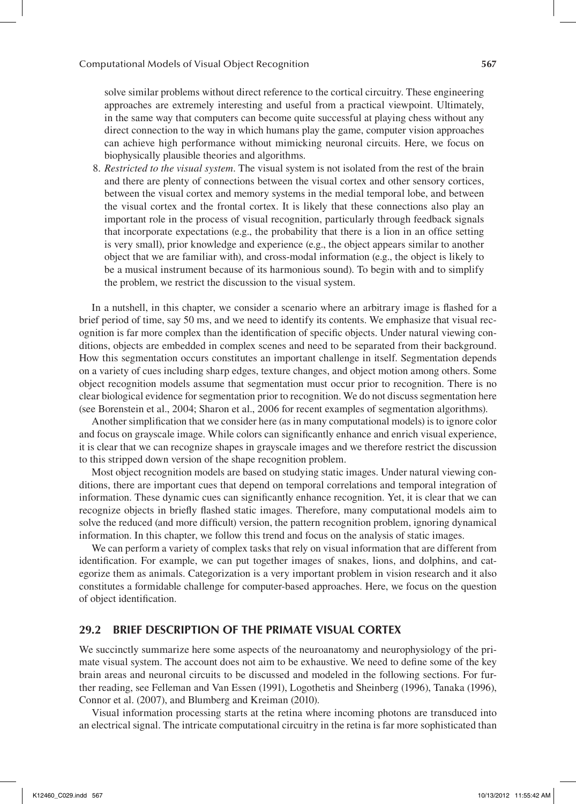solve similar problems without direct reference to the cortical circuitry. These engineering approaches are extremely interesting and useful from a practical viewpoint. Ultimately, in the same way that computers can become quite successful at playing chess without any direct connection to the way in which humans play the game, computer vision approaches can achieve high performance without mimicking neuronal circuits. Here, we focus on biophysically plausible theories and algorithms.

8. *Restricted to the visual system*. The visual system is not isolated from the rest of the brain and there are plenty of connections between the visual cortex and other sensory cortices, between the visual cortex and memory systems in the medial temporal lobe, and between the visual cortex and the frontal cortex. It is likely that these connections also play an important role in the process of visual recognition, particularly through feedback signals that incorporate expectations (e.g., the probability that there is a lion in an office setting is very small), prior knowledge and experience (e.g., the object appears similar to another object that we are familiar with), and cross-modal information (e.g., the object is likely to be a musical instrument because of its harmonious sound). To begin with and to simplify the problem, we restrict the discussion to the visual system.

In a nutshell, in this chapter, we consider a scenario where an arbitrary image is flashed for a brief period of time, say 50 ms, and we need to identify its contents. We emphasize that visual recognition is far more complex than the identification of specific objects. Under natural viewing conditions, objects are embedded in complex scenes and need to be separated from their background. How this segmentation occurs constitutes an important challenge in itself. Segmentation depends on a variety of cues including sharp edges, texture changes, and object motion among others. Some object recognition models assume that segmentation must occur prior to recognition. There is no clear biological evidence for segmentation prior to recognition. We do not discuss segmentation here (see Borenstein et al., 2004; Sharon et al., 2006 for recent examples of segmentation algorithms).

Another simplification that we consider here (as in many computational models) is to ignore color and focus on grayscale image. While colors can significantly enhance and enrich visual experience, it is clear that we can recognize shapes in grayscale images and we therefore restrict the discussion to this stripped down version of the shape recognition problem.

Most object recognition models are based on studying static images. Under natural viewing conditions, there are important cues that depend on temporal correlations and temporal integration of information. These dynamic cues can significantly enhance recognition. Yet, it is clear that we can recognize objects in briefly flashed static images. Therefore, many computational models aim to solve the reduced (and more difficult) version, the pattern recognition problem, ignoring dynamical information. In this chapter, we follow this trend and focus on the analysis of static images.

We can perform a variety of complex tasks that rely on visual information that are different from identification. For example, we can put together images of snakes, lions, and dolphins, and categorize them as animals. Categorization is a very important problem in vision research and it also constitutes a formidable challenge for computer-based approaches. Here, we focus on the question of object identification.

## **29.2 Brief Description of the Primate Visual Cortex**

We succinctly summarize here some aspects of the neuroanatomy and neurophysiology of the primate visual system. The account does not aim to be exhaustive. We need to define some of the key brain areas and neuronal circuits to be discussed and modeled in the following sections. For further reading, see Felleman and Van Essen (1991), Logothetis and Sheinberg (1996), Tanaka (1996), Connor et al. (2007), and Blumberg and Kreiman (2010).

Visual information processing starts at the retina where incoming photons are transduced into an electrical signal. The intricate computational circuitry in the retina is far more sophisticated than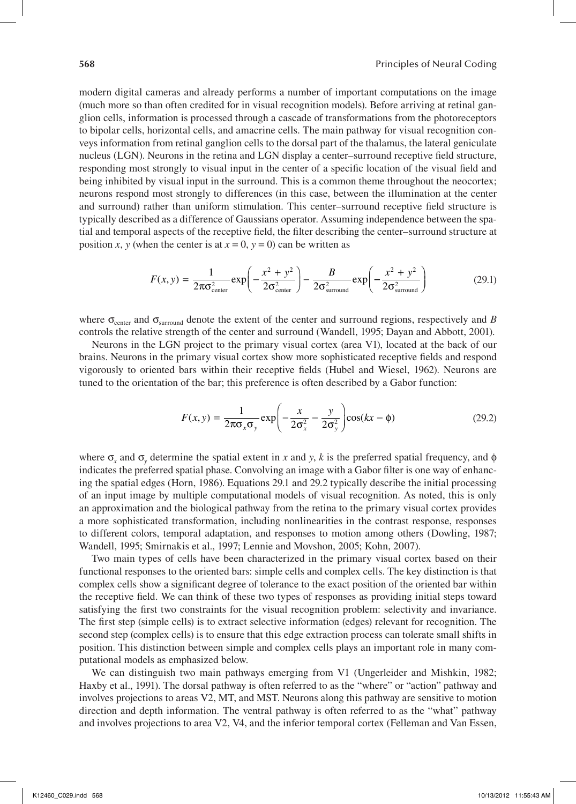modern digital cameras and already performs a number of important computations on the image (much more so than often credited for in visual recognition models). Before arriving at retinal ganglion cells, information is processed through a cascade of transformations from the photoreceptors to bipolar cells, horizontal cells, and amacrine cells. The main pathway for visual recognition conveys information from retinal ganglion cells to the dorsal part of the thalamus, the lateral geniculate nucleus (LGN). Neurons in the retina and LGN display a center–surround receptive field structure, responding most strongly to visual input in the center of a specific location of the visual field and being inhibited by visual input in the surround. This is a common theme throughout the neocortex; neurons respond most strongly to differences (in this case, between the illumination at the center and surround) rather than uniform stimulation. This center–surround receptive field structure is typically described as a difference of Gaussians operator. Assuming independence between the spatial and temporal aspects of the receptive field, the filter describing the center–surround structure at position *x*, *y* (when the center is at  $x = 0$ ,  $y = 0$ ) can be written as

$$
F(x, y) = \frac{1}{2\pi\sigma_{\text{center}}^2} \exp\left(-\frac{x^2 + y^2}{2\sigma_{\text{center}}^2}\right) - \frac{B}{2\sigma_{\text{surround}}^2} \exp\left(-\frac{x^2 + y^2}{2\sigma_{\text{surround}}^2}\right)
$$
(29.1)

where  $\sigma_{\text{center}}$  and  $\sigma_{\text{surround}}$  denote the extent of the center and surround regions, respectively and *B* controls the relative strength of the center and surround (Wandell, 1995; Dayan and Abbott, 2001).

Neurons in the LGN project to the primary visual cortex (area V1), located at the back of our brains. Neurons in the primary visual cortex show more sophisticated receptive fields and respond vigorously to oriented bars within their receptive fields (Hubel and Wiesel, 1962). Neurons are tuned to the orientation of the bar; this preference is often described by a Gabor function:

$$
F(x, y) = \frac{1}{2\pi\sigma_x\sigma_y} \exp\left(-\frac{x}{2\sigma_x^2} - \frac{y}{2\sigma_y^2}\right) \cos(kx - \phi)
$$
 (29.2)

where  $\sigma_x$  and  $\sigma_y$  determine the spatial extent in *x* and *y*, *k* is the preferred spatial frequency, and  $\phi$ indicates the preferred spatial phase. Convolving an image with a Gabor filter is one way of enhancing the spatial edges (Horn, 1986). Equations 29.1 and 29.2 typically describe the initial processing of an input image by multiple computational models of visual recognition. As noted, this is only an approximation and the biological pathway from the retina to the primary visual cortex provides a more sophisticated transformation, including nonlinearities in the contrast response, responses to different colors, temporal adaptation, and responses to motion among others (Dowling, 1987; Wandell, 1995; Smirnakis et al., 1997; Lennie and Movshon, 2005; Kohn, 2007).

Two main types of cells have been characterized in the primary visual cortex based on their functional responses to the oriented bars: simple cells and complex cells. The key distinction is that complex cells show a significant degree of tolerance to the exact position of the oriented bar within the receptive field. We can think of these two types of responses as providing initial steps toward satisfying the first two constraints for the visual recognition problem: selectivity and invariance. The first step (simple cells) is to extract selective information (edges) relevant for recognition. The second step (complex cells) is to ensure that this edge extraction process can tolerate small shifts in position. This distinction between simple and complex cells plays an important role in many computational models as emphasized below.

We can distinguish two main pathways emerging from V1 (Ungerleider and Mishkin, 1982; Haxby et al., 1991). The dorsal pathway is often referred to as the "where" or "action" pathway and involves projections to areas V2, MT, and MST. Neurons along this pathway are sensitive to motion direction and depth information. The ventral pathway is often referred to as the "what" pathway and involves projections to area V2, V4, and the inferior temporal cortex (Felleman and Van Essen,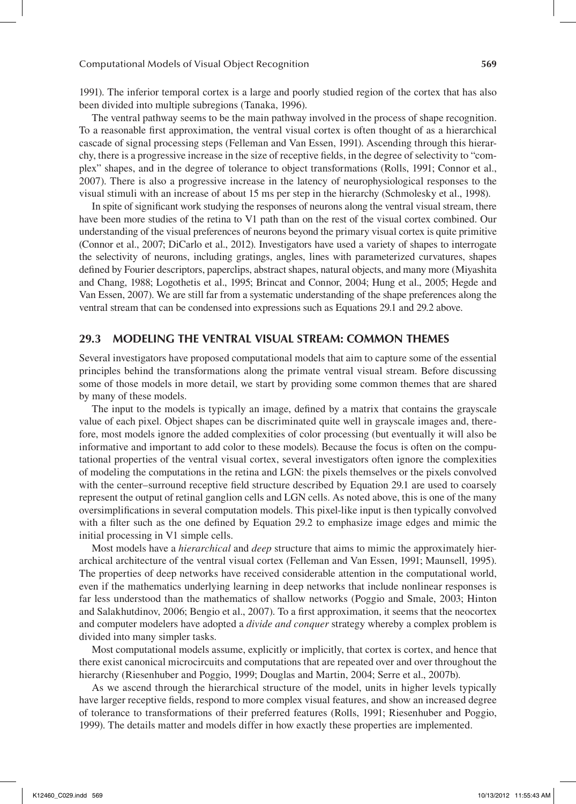1991). The inferior temporal cortex is a large and poorly studied region of the cortex that has also been divided into multiple subregions (Tanaka, 1996).

The ventral pathway seems to be the main pathway involved in the process of shape recognition. To a reasonable first approximation, the ventral visual cortex is often thought of as a hierarchical cascade of signal processing steps (Felleman and Van Essen, 1991). Ascending through this hierarchy, there is a progressive increase in the size of receptive fields, in the degree of selectivity to "complex" shapes, and in the degree of tolerance to object transformations (Rolls, 1991; Connor et al., 2007). There is also a progressive increase in the latency of neurophysiological responses to the visual stimuli with an increase of about 15 ms per step in the hierarchy (Schmolesky et al., 1998).

In spite of significant work studying the responses of neurons along the ventral visual stream, there have been more studies of the retina to V1 path than on the rest of the visual cortex combined. Our understanding of the visual preferences of neurons beyond the primary visual cortex is quite primitive (Connor et al., 2007; DiCarlo et al., 2012). Investigators have used a variety of shapes to interrogate the selectivity of neurons, including gratings, angles, lines with parameterized curvatures, shapes defined by Fourier descriptors, paperclips, abstract shapes, natural objects, and many more (Miyashita and Chang, 1988; Logothetis et al., 1995; Brincat and Connor, 2004; Hung et al., 2005; Hegde and Van Essen, 2007). We are still far from a systematic understanding of the shape preferences along the ventral stream that can be condensed into expressions such as Equations 29.1 and 29.2 above.

### **29.3 Modeling the Ventral Visual Stream: Common Themes**

Several investigators have proposed computational models that aim to capture some of the essential principles behind the transformations along the primate ventral visual stream. Before discussing some of those models in more detail, we start by providing some common themes that are shared by many of these models.

The input to the models is typically an image, defined by a matrix that contains the grayscale value of each pixel. Object shapes can be discriminated quite well in grayscale images and, therefore, most models ignore the added complexities of color processing (but eventually it will also be informative and important to add color to these models). Because the focus is often on the computational properties of the ventral visual cortex, several investigators often ignore the complexities of modeling the computations in the retina and LGN: the pixels themselves or the pixels convolved with the center–surround receptive field structure described by Equation 29.1 are used to coarsely represent the output of retinal ganglion cells and LGN cells. As noted above, this is one of the many oversimplifications in several computation models. This pixel-like input is then typically convolved with a filter such as the one defined by Equation 29.2 to emphasize image edges and mimic the initial processing in V1 simple cells.

Most models have a *hierarchical* and *deep* structure that aims to mimic the approximately hierarchical architecture of the ventral visual cortex (Felleman and Van Essen, 1991; Maunsell, 1995). The properties of deep networks have received considerable attention in the computational world, even if the mathematics underlying learning in deep networks that include nonlinear responses is far less understood than the mathematics of shallow networks (Poggio and Smale, 2003; Hinton and Salakhutdinov, 2006; Bengio et al., 2007). To a first approximation, it seems that the neocortex and computer modelers have adopted a *divide and conquer* strategy whereby a complex problem is divided into many simpler tasks.

Most computational models assume, explicitly or implicitly, that cortex is cortex, and hence that there exist canonical microcircuits and computations that are repeated over and over throughout the hierarchy (Riesenhuber and Poggio, 1999; Douglas and Martin, 2004; Serre et al., 2007b).

As we ascend through the hierarchical structure of the model, units in higher levels typically have larger receptive fields, respond to more complex visual features, and show an increased degree of tolerance to transformations of their preferred features (Rolls, 1991; Riesenhuber and Poggio, 1999). The details matter and models differ in how exactly these properties are implemented.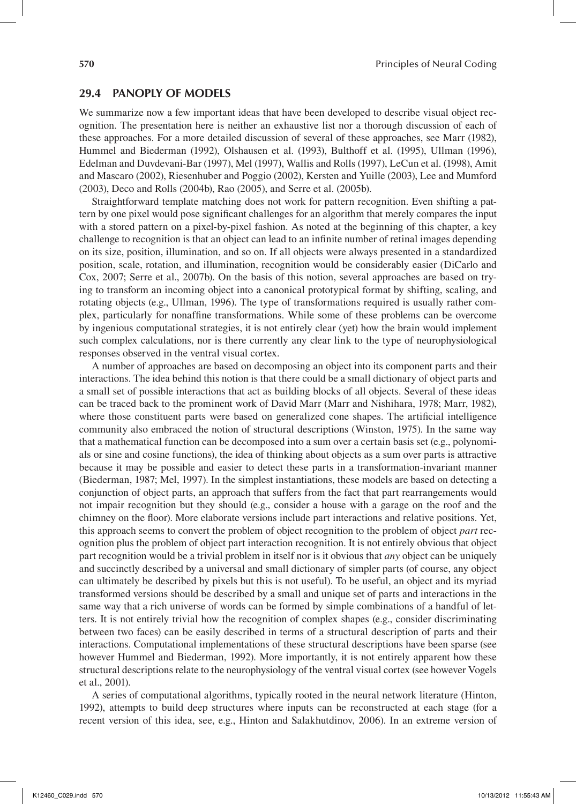### **29.4 Panoply of Models**

We summarize now a few important ideas that have been developed to describe visual object recognition. The presentation here is neither an exhaustive list nor a thorough discussion of each of these approaches. For a more detailed discussion of several of these approaches, see Marr (1982), Hummel and Biederman (1992), Olshausen et al. (1993), Bulthoff et al. (1995), Ullman (1996), Edelman and Duvdevani-Bar (1997), Mel (1997), Wallis and Rolls (1997), LeCun et al. (1998), Amit and Mascaro (2002), Riesenhuber and Poggio (2002), Kersten and Yuille (2003), Lee and Mumford (2003), Deco and Rolls (2004b), Rao (2005), and Serre et al. (2005b).

Straightforward template matching does not work for pattern recognition. Even shifting a pattern by one pixel would pose significant challenges for an algorithm that merely compares the input with a stored pattern on a pixel-by-pixel fashion. As noted at the beginning of this chapter, a key challenge to recognition is that an object can lead to an infinite number of retinal images depending on its size, position, illumination, and so on. If all objects were always presented in a standardized position, scale, rotation, and illumination, recognition would be considerably easier (DiCarlo and Cox, 2007; Serre et al., 2007b). On the basis of this notion, several approaches are based on trying to transform an incoming object into a canonical prototypical format by shifting, scaling, and rotating objects (e.g., Ullman, 1996). The type of transformations required is usually rather complex, particularly for nonaffine transformations. While some of these problems can be overcome by ingenious computational strategies, it is not entirely clear (yet) how the brain would implement such complex calculations, nor is there currently any clear link to the type of neurophysiological responses observed in the ventral visual cortex.

A number of approaches are based on decomposing an object into its component parts and their interactions. The idea behind this notion is that there could be a small dictionary of object parts and a small set of possible interactions that act as building blocks of all objects. Several of these ideas can be traced back to the prominent work of David Marr (Marr and Nishihara, 1978; Marr, 1982), where those constituent parts were based on generalized cone shapes. The artificial intelligence community also embraced the notion of structural descriptions (Winston, 1975). In the same way that a mathematical function can be decomposed into a sum over a certain basis set (e.g., polynomials or sine and cosine functions), the idea of thinking about objects as a sum over parts is attractive because it may be possible and easier to detect these parts in a transformation-invariant manner (Biederman, 1987; Mel, 1997). In the simplest instantiations, these models are based on detecting a conjunction of object parts, an approach that suffers from the fact that part rearrangements would not impair recognition but they should (e.g., consider a house with a garage on the roof and the chimney on the floor). More elaborate versions include part interactions and relative positions. Yet, this approach seems to convert the problem of object recognition to the problem of object *part* recognition plus the problem of object part interaction recognition. It is not entirely obvious that object part recognition would be a trivial problem in itself nor is it obvious that *any* object can be uniquely and succinctly described by a universal and small dictionary of simpler parts (of course, any object can ultimately be described by pixels but this is not useful). To be useful, an object and its myriad transformed versions should be described by a small and unique set of parts and interactions in the same way that a rich universe of words can be formed by simple combinations of a handful of letters. It is not entirely trivial how the recognition of complex shapes (e.g., consider discriminating between two faces) can be easily described in terms of a structural description of parts and their interactions. Computational implementations of these structural descriptions have been sparse (see however Hummel and Biederman, 1992). More importantly, it is not entirely apparent how these structural descriptions relate to the neurophysiology of the ventral visual cortex (see however Vogels et al., 2001).

A series of computational algorithms, typically rooted in the neural network literature (Hinton, 1992), attempts to build deep structures where inputs can be reconstructed at each stage (for a recent version of this idea, see, e.g., Hinton and Salakhutdinov, 2006). In an extreme version of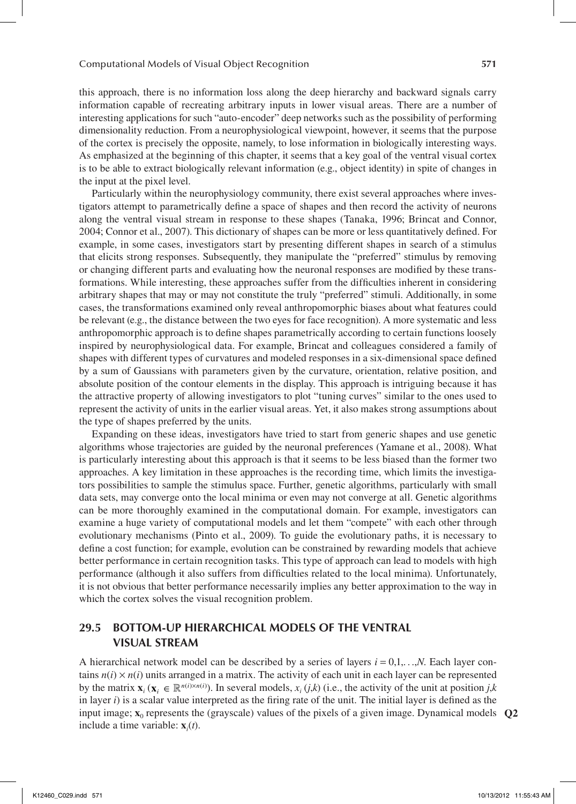this approach, there is no information loss along the deep hierarchy and backward signals carry information capable of recreating arbitrary inputs in lower visual areas. There are a number of interesting applications for such "auto-encoder" deep networks such as the possibility of performing dimensionality reduction. From a neurophysiological viewpoint, however, it seems that the purpose of the cortex is precisely the opposite, namely, to lose information in biologically interesting ways. As emphasized at the beginning of this chapter, it seems that a key goal of the ventral visual cortex is to be able to extract biologically relevant information (e.g., object identity) in spite of changes in the input at the pixel level.

Particularly within the neurophysiology community, there exist several approaches where investigators attempt to parametrically define a space of shapes and then record the activity of neurons along the ventral visual stream in response to these shapes (Tanaka, 1996; Brincat and Connor, 2004; Connor et al., 2007). This dictionary of shapes can be more or less quantitatively defined. For example, in some cases, investigators start by presenting different shapes in search of a stimulus that elicits strong responses. Subsequently, they manipulate the "preferred" stimulus by removing or changing different parts and evaluating how the neuronal responses are modified by these transformations. While interesting, these approaches suffer from the difficulties inherent in considering arbitrary shapes that may or may not constitute the truly "preferred" stimuli. Additionally, in some cases, the transformations examined only reveal anthropomorphic biases about what features could be relevant (e.g., the distance between the two eyes for face recognition). A more systematic and less anthropomorphic approach is to define shapes parametrically according to certain functions loosely inspired by neurophysiological data. For example, Brincat and colleagues considered a family of shapes with different types of curvatures and modeled responses in a six-dimensional space defined by a sum of Gaussians with parameters given by the curvature, orientation, relative position, and absolute position of the contour elements in the display. This approach is intriguing because it has the attractive property of allowing investigators to plot "tuning curves" similar to the ones used to represent the activity of units in the earlier visual areas. Yet, it also makes strong assumptions about the type of shapes preferred by the units.

Expanding on these ideas, investigators have tried to start from generic shapes and use genetic algorithms whose trajectories are guided by the neuronal preferences (Yamane et al., 2008). What is particularly interesting about this approach is that it seems to be less biased than the former two approaches. A key limitation in these approaches is the recording time, which limits the investigators possibilities to sample the stimulus space. Further, genetic algorithms, particularly with small data sets, may converge onto the local minima or even may not converge at all. Genetic algorithms can be more thoroughly examined in the computational domain. For example, investigators can examine a huge variety of computational models and let them "compete" with each other through evolutionary mechanisms (Pinto et al., 2009). To guide the evolutionary paths, it is necessary to define a cost function; for example, evolution can be constrained by rewarding models that achieve better performance in certain recognition tasks. This type of approach can lead to models with high performance (although it also suffers from difficulties related to the local minima). Unfortunately, it is not obvious that better performance necessarily implies any better approximation to the way in which the cortex solves the visual recognition problem.

# **29.5 Bottom-Up Hierarchical Models of the Ventral Visual Stream**

A hierarchical network model can be described by a series of layers  $i = 0,1,...,N$ . Each layer contains  $n(i) \times n(i)$  units arranged in a matrix. The activity of each unit in each layer can be represented by the matrix  $\mathbf{x}_i$  ( $\mathbf{x}_i \in \mathbb{R}^{n(i)\times n(i)}$ ). In several models,  $x_i$  (*j*,*k*) (i.e., the activity of the unit at position *j*,*k* in layer  $i$ ) is a scalar value interpreted as the firing rate of the unit. The initial layer is defined as the input image;  $\mathbf{x}_0$  represents the (grayscale) values of the pixels of a given image. Dynamical models  $\mathbf{Q2}$ include a time variable: **x***<sup>i</sup>* (*t*).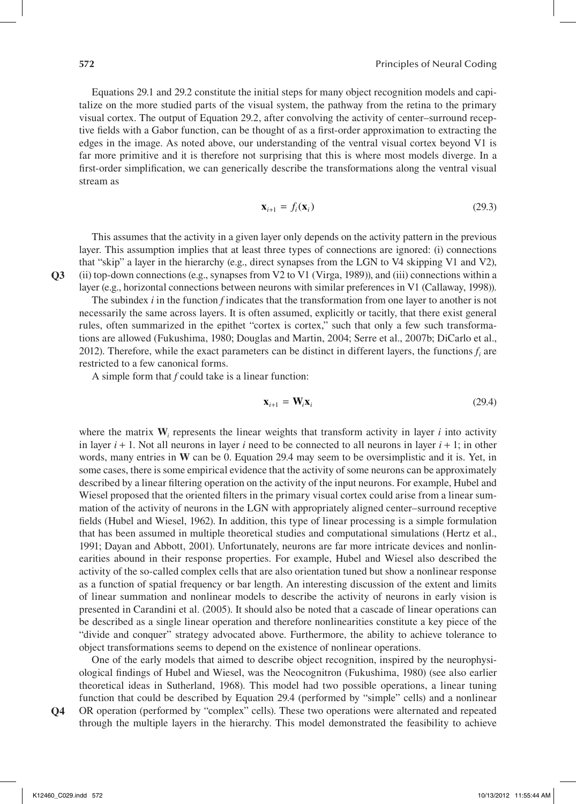Equations 29.1 and 29.2 constitute the initial steps for many object recognition models and capitalize on the more studied parts of the visual system, the pathway from the retina to the primary visual cortex. The output of Equation 29.2, after convolving the activity of center–surround receptive fields with a Gabor function, can be thought of as a first-order approximation to extracting the edges in the image. As noted above, our understanding of the ventral visual cortex beyond V1 is far more primitive and it is therefore not surprising that this is where most models diverge. In a first-order simplification, we can generically describe the transformations along the ventral visual stream as

$$
\mathbf{x}_{i+1} = f_i(\mathbf{x}_i) \tag{29.3}
$$

This assumes that the activity in a given layer only depends on the activity pattern in the previous layer. This assumption implies that at least three types of connections are ignored: (i) connections that "skip" a layer in the hierarchy (e.g., direct synapses from the LGN to V4 skipping V1 and V2), (ii) top-down connections (e.g., synapses from V2 to V1 (Virga, 1989)), and (iii) connections within a layer (e.g., horizontal connections between neurons with similar preferences in V1 (Callaway, 1998)).

The subindex *i* in the function *f* indicates that the transformation from one layer to another is not necessarily the same across layers. It is often assumed, explicitly or tacitly, that there exist general rules, often summarized in the epithet "cortex is cortex," such that only a few such transformations are allowed (Fukushima, 1980; Douglas and Martin, 2004; Serre et al., 2007b; DiCarlo et al., 2012). Therefore, while the exact parameters can be distinct in different layers, the functions  $f_i$  are restricted to a few canonical forms.

A simple form that *f* could take is a linear function:

$$
\mathbf{x}_{i+1} = \mathbf{W}_i \mathbf{x}_i \tag{29.4}
$$

where the matrix  $W_i$  represents the linear weights that transform activity in layer  $i$  into activity in layer  $i + 1$ . Not all neurons in layer  $i$  need to be connected to all neurons in layer  $i + 1$ ; in other words, many entries in **W** can be 0. Equation 29.4 may seem to be oversimplistic and it is. Yet, in some cases, there is some empirical evidence that the activity of some neurons can be approximately described by a linear filtering operation on the activity of the input neurons. For example, Hubel and Wiesel proposed that the oriented filters in the primary visual cortex could arise from a linear summation of the activity of neurons in the LGN with appropriately aligned center–surround receptive fields (Hubel and Wiesel, 1962). In addition, this type of linear processing is a simple formulation that has been assumed in multiple theoretical studies and computational simulations (Hertz et al., 1991; Dayan and Abbott, 2001). Unfortunately, neurons are far more intricate devices and nonlinearities abound in their response properties. For example, Hubel and Wiesel also described the activity of the so-called complex cells that are also orientation tuned but show a nonlinear response as a function of spatial frequency or bar length. An interesting discussion of the extent and limits of linear summation and nonlinear models to describe the activity of neurons in early vision is presented in Carandini et al. (2005). It should also be noted that a cascade of linear operations can be described as a single linear operation and therefore nonlinearities constitute a key piece of the "divide and conquer" strategy advocated above. Furthermore, the ability to achieve tolerance to object transformations seems to depend on the existence of nonlinear operations.

One of the early models that aimed to describe object recognition, inspired by the neurophysiological findings of Hubel and Wiesel, was the Neocognitron (Fukushima, 1980) (see also earlier theoretical ideas in Sutherland, 1968). This model had two possible operations, a linear tuning function that could be described by Equation 29.4 (performed by "simple" cells) and a nonlinear OR operation (performed by "complex" cells). These two operations were alternated and repeated

through the multiple layers in the hierarchy. This model demonstrated the feasibility to achieve **Q4**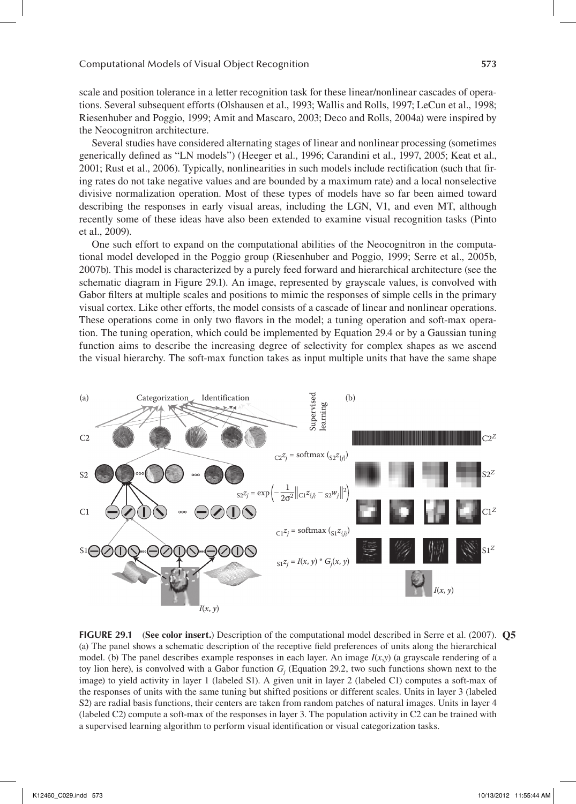scale and position tolerance in a letter recognition task for these linear/nonlinear cascades of operations. Several subsequent efforts (Olshausen et al., 1993; Wallis and Rolls, 1997; LeCun et al., 1998; Riesenhuber and Poggio, 1999; Amit and Mascaro, 2003; Deco and Rolls, 2004a) were inspired by the Neocognitron architecture.

Several studies have considered alternating stages of linear and nonlinear processing (sometimes generically defined as "LN models") (Heeger et al., 1996; Carandini et al., 1997, 2005; Keat et al., 2001; Rust et al., 2006). Typically, nonlinearities in such models include rectification (such that firing rates do not take negative values and are bounded by a maximum rate) and a local nonselective divisive normalization operation. Most of these types of models have so far been aimed toward describing the responses in early visual areas, including the LGN, V1, and even MT, although recently some of these ideas have also been extended to examine visual recognition tasks (Pinto et al., 2009).

One such effort to expand on the computational abilities of the Neocognitron in the computational model developed in the Poggio group (Riesenhuber and Poggio, 1999; Serre et al., 2005b, 2007b). This model is characterized by a purely feed forward and hierarchical architecture (see the schematic diagram in Figure 29.1). An image, represented by grayscale values, is convolved with Gabor filters at multiple scales and positions to mimic the responses of simple cells in the primary visual cortex. Like other efforts, the model consists of a cascade of linear and nonlinear operations. These operations come in only two flavors in the model; a tuning operation and soft-max operation. The tuning operation, which could be implemented by Equation 29.4 or by a Gaussian tuning function aims to describe the increasing degree of selectivity for complex shapes as we ascend the visual hierarchy. The soft-max function takes as input multiple units that have the same shape



**FIGURE 29.1** (See color insert.) Description of the computational model described in Serre et al. (2007). Q5 (a) The panel shows a schematic description of the receptive field preferences of units along the hierarchical model. (b) The panel describes example responses in each layer. An image  $I(x, y)$  (a grayscale rendering of a toy lion here), is convolved with a Gabor function  $G_j$  (Equation 29.2, two such functions shown next to the image) to yield activity in layer 1 (labeled S1). A given unit in layer 2 (labeled C1) computes a soft-max of the responses of units with the same tuning but shifted positions or different scales. Units in layer 3 (labeled S2) are radial basis functions, their centers are taken from random patches of natural images. Units in layer 4 (labeled C2) compute a soft-max of the responses in layer 3. The population activity in C2 can be trained with a supervised learning algorithm to perform visual identification or visual categorization tasks.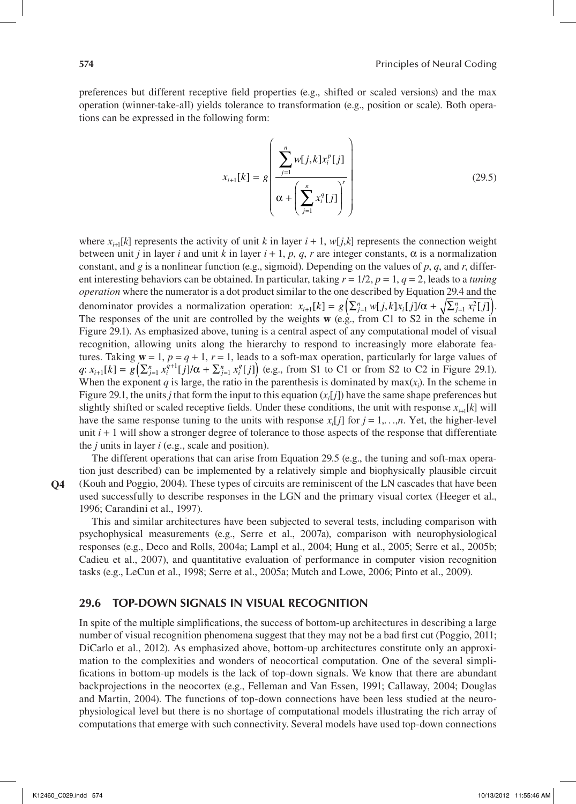preferences but different receptive field properties (e.g., shifted or scaled versions) and the max operation (winner-take-all) yields tolerance to transformation (e.g., position or scale). Both operations can be expressed in the following form:

$$
x_{i+1}[k] = g\left(\frac{\sum_{j=1}^{n} w[j,k]x_i^p[j]}{\alpha + \left(\sum_{j=1}^{n} x_i^q[j]\right)^r}\right)
$$
(29.5)

where  $x_{i+1}[k]$  represents the activity of unit *k* in layer  $i + 1$ ,  $w[j,k]$  represents the connection weight between unit *j* in layer *i* and unit *k* in layer *i* + 1, *p*, *q*, *r* are integer constants, α is a normalization constant, and *g* is a nonlinear function (e.g., sigmoid). Depending on the values of *p*, *q*, and *r*, different interesting behaviors can be obtained. In particular, taking *r* = 1/2, *p* = 1, *q* = 2, leads to a *tuning operation* where the numerator is a dot product similar to the one described by Equation 29.4 and the denominator provides a normalization operation:  $x_{i+1}[k] = g\left(\sum_{j=1}^n w[j,k]x_i[j]/\alpha + \sqrt{\sum_{j=1}^n x_i^2[j]}\right)$ . The responses of the unit are controlled by the weights **w** (e.g., from C1 to S2 in the scheme in Figure 29.1). As emphasized above, tuning is a central aspect of any computational model of visual recognition, allowing units along the hierarchy to respond to increasingly more elaborate features. Taking  $\mathbf{w} = 1$ ,  $p = q + 1$ ,  $r = 1$ , leads to a soft-max operation, particularly for large values of  $q: x_{i+1}[k] = g\left(\sum_{j=1}^n x_i^{q+1}[j]/\alpha + \sum_{j=1}^n x_i^q[j]\right)$  (e.g., from S1 to C1 or from S2 to C2 in Figure 29.1). When the exponent  $q$  is large, the ratio in the parenthesis is dominated by  $max(x_i)$ . In the scheme in Figure 29.1, the units *j* that form the input to this equation  $(x_i[j])$  have the same shape preferences but slightly shifted or scaled receptive fields. Under these conditions, the unit with response  $x_{i+1}[k]$  will have the same response tuning to the units with response  $x_i[j]$  for  $j = 1, \ldots, n$ . Yet, the higher-level unit  $i + 1$  will show a stronger degree of tolerance to those aspects of the response that differentiate the *j* units in layer *i* (e.g., scale and position).

**Q4**

The different operations that can arise from Equation 29.5 (e.g., the tuning and soft-max operation just described) can be implemented by a relatively simple and biophysically plausible circuit (Kouh and Poggio, 2004). These types of circuits are reminiscent of the LN cascades that have been used successfully to describe responses in the LGN and the primary visual cortex (Heeger et al., 1996; Carandini et al., 1997).

This and similar architectures have been subjected to several tests, including comparison with psychophysical measurements (e.g., Serre et al., 2007a), comparison with neurophysiological responses (e.g., Deco and Rolls, 2004a; Lampl et al., 2004; Hung et al., 2005; Serre et al., 2005b; Cadieu et al., 2007), and quantitative evaluation of performance in computer vision recognition tasks (e.g., LeCun et al., 1998; Serre et al., 2005a; Mutch and Lowe, 2006; Pinto et al., 2009).

### **29.6 Top-Down Signals in Visual Recognition**

In spite of the multiple simplifications, the success of bottom-up architectures in describing a large number of visual recognition phenomena suggest that they may not be a bad first cut (Poggio, 2011; DiCarlo et al., 2012). As emphasized above, bottom-up architectures constitute only an approximation to the complexities and wonders of neocortical computation. One of the several simplifications in bottom-up models is the lack of top-down signals. We know that there are abundant backprojections in the neocortex (e.g., Felleman and Van Essen, 1991; Callaway, 2004; Douglas and Martin, 2004). The functions of top-down connections have been less studied at the neurophysiological level but there is no shortage of computational models illustrating the rich array of computations that emerge with such connectivity. Several models have used top-down connections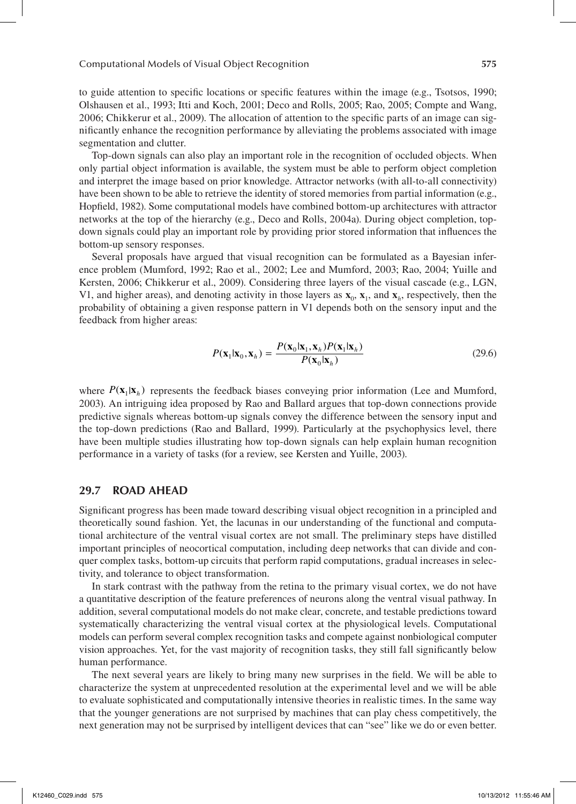to guide attention to specific locations or specific features within the image (e.g., Tsotsos, 1990; Olshausen et al., 1993; Itti and Koch, 2001; Deco and Rolls, 2005; Rao, 2005; Compte and Wang, 2006; Chikkerur et al., 2009). The allocation of attention to the specific parts of an image can significantly enhance the recognition performance by alleviating the problems associated with image segmentation and clutter.

Top-down signals can also play an important role in the recognition of occluded objects. When only partial object information is available, the system must be able to perform object completion and interpret the image based on prior knowledge. Attractor networks (with all-to-all connectivity) have been shown to be able to retrieve the identity of stored memories from partial information (e.g., Hopfield, 1982). Some computational models have combined bottom-up architectures with attractor networks at the top of the hierarchy (e.g., Deco and Rolls, 2004a). During object completion, topdown signals could play an important role by providing prior stored information that influences the bottom-up sensory responses.

Several proposals have argued that visual recognition can be formulated as a Bayesian inference problem (Mumford, 1992; Rao et al., 2002; Lee and Mumford, 2003; Rao, 2004; Yuille and Kersten, 2006; Chikkerur et al., 2009). Considering three layers of the visual cascade (e.g., LGN, V1, and higher areas), and denoting activity in those layers as  $\mathbf{x}_0$ ,  $\mathbf{x}_1$ , and  $\mathbf{x}_h$ , respectively, then the probability of obtaining a given response pattern in V1 depends both on the sensory input and the feedback from higher areas:

$$
P(\mathbf{x}_1|\mathbf{x}_0, \mathbf{x}_h) = \frac{P(\mathbf{x}_0|\mathbf{x}_1, \mathbf{x}_h)P(\mathbf{x}_1|\mathbf{x}_h)}{P(\mathbf{x}_0|\mathbf{x}_h)}
$$
(29.6)

where  $P(\mathbf{x}_1|\mathbf{x}_h)$  represents the feedback biases conveying prior information (Lee and Mumford, 2003). An intriguing idea proposed by Rao and Ballard argues that top-down connections provide predictive signals whereas bottom-up signals convey the difference between the sensory input and the top-down predictions (Rao and Ballard, 1999). Particularly at the psychophysics level, there have been multiple studies illustrating how top-down signals can help explain human recognition performance in a variety of tasks (for a review, see Kersten and Yuille, 2003).

### **29.7 Road Ahead**

Significant progress has been made toward describing visual object recognition in a principled and theoretically sound fashion. Yet, the lacunas in our understanding of the functional and computational architecture of the ventral visual cortex are not small. The preliminary steps have distilled important principles of neocortical computation, including deep networks that can divide and conquer complex tasks, bottom-up circuits that perform rapid computations, gradual increases in selectivity, and tolerance to object transformation.

In stark contrast with the pathway from the retina to the primary visual cortex, we do not have a quantitative description of the feature preferences of neurons along the ventral visual pathway. In addition, several computational models do not make clear, concrete, and testable predictions toward systematically characterizing the ventral visual cortex at the physiological levels. Computational models can perform several complex recognition tasks and compete against nonbiological computer vision approaches. Yet, for the vast majority of recognition tasks, they still fall significantly below human performance.

The next several years are likely to bring many new surprises in the field. We will be able to characterize the system at unprecedented resolution at the experimental level and we will be able to evaluate sophisticated and computationally intensive theories in realistic times. In the same way that the younger generations are not surprised by machines that can play chess competitively, the next generation may not be surprised by intelligent devices that can "see" like we do or even better.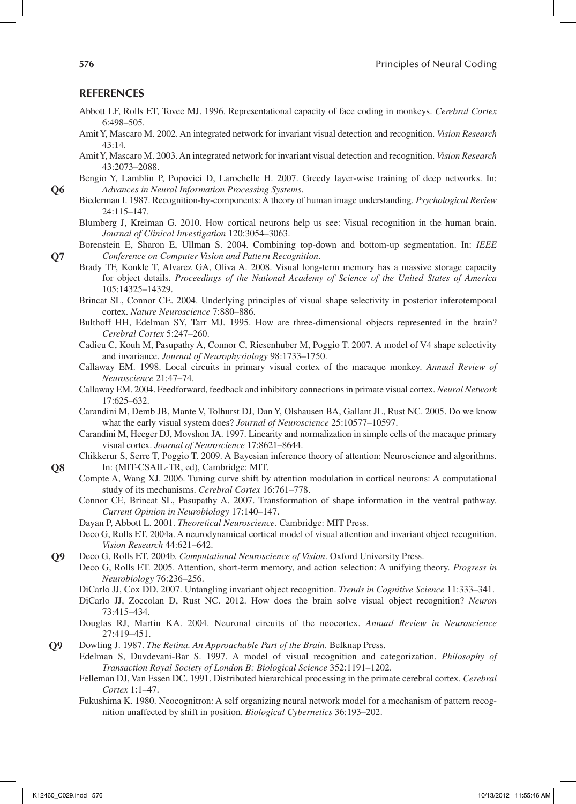### **References**

- Abbott LF, Rolls ET, Tovee MJ. 1996. Representational capacity of face coding in monkeys. *Cerebral Cortex* 6:498–505.
- Amit Y, Mascaro M. 2002. An integrated network for invariant visual detection and recognition. *Vision Research* 43:14.
- Amit Y, Mascaro M. 2003. An integrated network for invariant visual detection and recognition. *Vision Research* 43:2073–2088.
- Bengio Y, Lamblin P, Popovici D, Larochelle H. 2007. Greedy layer-wise training of deep networks. In: *Advances in Neural Information Processing Systems*.
	- Biederman I. 1987. Recognition-by-components: A theory of human image understanding. *Psychological Review* 24:115–147.
	- Blumberg J, Kreiman G. 2010. How cortical neurons help us see: Visual recognition in the human brain. *Journal of Clinical Investigation* 120:3054–3063.
- Borenstein E, Sharon E, Ullman S. 2004. Combining top-down and bottom-up segmentation. In: *IEEE Conference on Computer Vision and Pattern Recognition*.
- Brady TF, Konkle T, Alvarez GA, Oliva A. 2008. Visual long-term memory has a massive storage capacity for object details. *Proceedings of the National Academy of Science of the United States of America* 105:14325–14329.
- Brincat SL, Connor CE. 2004. Underlying principles of visual shape selectivity in posterior inferotemporal cortex. *Nature Neuroscience* 7:880–886.
- Bulthoff HH, Edelman SY, Tarr MJ. 1995. How are three-dimensional objects represented in the brain? *Cerebral Cortex* 5:247–260.
- Cadieu C, Kouh M, Pasupathy A, Connor C, Riesenhuber M, Poggio T. 2007. A model of V4 shape selectivity and invariance. *Journal of Neurophysiology* 98:1733–1750.
- Callaway EM. 1998. Local circuits in primary visual cortex of the macaque monkey. *Annual Review of Neuroscience* 21:47–74.
- Callaway EM. 2004. Feedforward, feedback and inhibitory connections in primate visual cortex. *Neural Network* 17:625–632.
- Carandini M, Demb JB, Mante V, Tolhurst DJ, Dan Y, Olshausen BA, Gallant JL, Rust NC. 2005. Do we know what the early visual system does? *Journal of Neuroscience* 25:10577–10597.
- Carandini M, Heeger DJ, Movshon JA. 1997. Linearity and normalization in simple cells of the macaque primary visual cortex. *Journal of Neuroscience* 17:8621–8644.
- Chikkerur S, Serre T, Poggio T. 2009. A Bayesian inference theory of attention: Neuroscience and algorithms. In: (MIT-CSAIL-TR, ed), Cambridge: MIT.
- Compte A, Wang XJ. 2006. Tuning curve shift by attention modulation in cortical neurons: A computational study of its mechanisms. *Cerebral Cortex* 16:761–778.
- Connor CE, Brincat SL, Pasupathy A. 2007. Transformation of shape information in the ventral pathway. *Current Opinion in Neurobiology* 17:140–147.
- Dayan P, Abbott L. 2001. *Theoretical Neuroscience*. Cambridge: MIT Press.
- Deco G, Rolls ET. 2004a. A neurodynamical cortical model of visual attention and invariant object recognition. *Vision Research* 44:621–642.
- Deco G, Rolls ET. 2004b. *Computational Neuroscience of Vision*. Oxford University Press. **Q9**

Deco G, Rolls ET. 2005. Attention, short-term memory, and action selection: A unifying theory. *Progress in Neurobiology* 76:236–256.

- DiCarlo JJ, Cox DD. 2007. Untangling invariant object recognition. *Trends in Cognitive Science* 11:333–341.
- DiCarlo JJ, Zoccolan D, Rust NC. 2012. How does the brain solve visual object recognition? *Neuron* 73:415–434.
- Douglas RJ, Martin KA. 2004. Neuronal circuits of the neocortex. *Annual Review in Neuroscience* 27:419–451.
- Dowling J. 1987. *The Retina. An Approachable Part of the Brain*. Belknap Press. **Q9**
	- Edelman S, Duvdevani-Bar S. 1997. A model of visual recognition and categorization. *Philosophy of Transaction Royal Society of London B: Biological Science* 352:1191–1202.
		- Felleman DJ, Van Essen DC. 1991. Distributed hierarchical processing in the primate cerebral cortex. *Cerebral Cortex* 1:1–47.
		- Fukushima K. 1980. Neocognitron: A self organizing neural network model for a mechanism of pattern recognition unaffected by shift in position. *Biological Cybernetics* 36:193–202.

**Q6**

**Q7**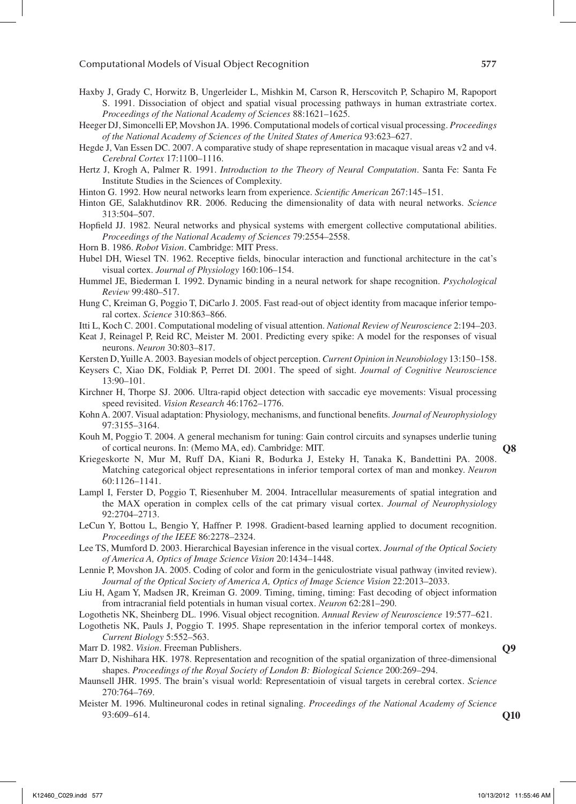- Haxby J, Grady C, Horwitz B, Ungerleider L, Mishkin M, Carson R, Herscovitch P, Schapiro M, Rapoport S. 1991. Dissociation of object and spatial visual processing pathways in human extrastriate cortex. *Proceedings of the National Academy of Sciences* 88:1621–1625.
- Heeger DJ, Simoncelli EP, Movshon JA. 1996. Computational models of cortical visual processing. *Proceedings of the National Academy of Sciences of the United States of America* 93:623–627.
- Hegde J, Van Essen DC. 2007. A comparative study of shape representation in macaque visual areas v2 and v4. *Cerebral Cortex* 17:1100–1116.
- Hertz J, Krogh A, Palmer R. 1991. *Introduction to the Theory of Neural Computation*. Santa Fe: Santa Fe Institute Studies in the Sciences of Complexity.
- Hinton G. 1992. How neural networks learn from experience. *Scientific American* 267:145–151.
- Hinton GE, Salakhutdinov RR. 2006. Reducing the dimensionality of data with neural networks. *Science* 313:504–507.
- Hopfield JJ. 1982. Neural networks and physical systems with emergent collective computational abilities. *Proceedings of the National Academy of Sciences* 79:2554–2558.
- Horn B. 1986. *Robot Vision*. Cambridge: MIT Press.
- Hubel DH, Wiesel TN. 1962. Receptive fields, binocular interaction and functional architecture in the cat's visual cortex. *Journal of Physiology* 160:106–154.
- Hummel JE, Biederman I. 1992. Dynamic binding in a neural network for shape recognition. *Psychological Review* 99:480–517.
- Hung C, Kreiman G, Poggio T, DiCarlo J. 2005. Fast read-out of object identity from macaque inferior temporal cortex. *Science* 310:863–866.
- Itti L, Koch C. 2001. Computational modeling of visual attention. *National Review of Neuroscience* 2:194–203.
- Keat J, Reinagel P, Reid RC, Meister M. 2001. Predicting every spike: A model for the responses of visual neurons. *Neuron* 30:803–817.
- Kersten D, Yuille A. 2003. Bayesian models of object perception. *Current Opinion in Neurobiology* 13:150–158.
- Keysers C, Xiao DK, Foldiak P, Perret DI. 2001. The speed of sight. *Journal of Cognitive Neuroscience* 13:90–101.
- Kirchner H, Thorpe SJ. 2006. Ultra-rapid object detection with saccadic eye movements: Visual processing speed revisited. *Vision Research* 46:1762–1776.
- Kohn A. 2007. Visual adaptation: Physiology, mechanisms, and functional benefits. *Journal of Neurophysiology* 97:3155–3164.
- Kouh M, Poggio T. 2004. A general mechanism for tuning: Gain control circuits and synapses underlie tuning of cortical neurons. In: (Memo MA, ed). Cambridge: MIT.
- Kriegeskorte N, Mur M, Ruff DA, Kiani R, Bodurka J, Esteky H, Tanaka K, Bandettini PA. 2008. Matching categorical object representations in inferior temporal cortex of man and monkey. *Neuron* 60:1126–1141.
- Lampl I, Ferster D, Poggio T, Riesenhuber M. 2004. Intracellular measurements of spatial integration and the MAX operation in complex cells of the cat primary visual cortex. *Journal of Neurophysiology* 92:2704–2713.
- LeCun Y, Bottou L, Bengio Y, Haffner P. 1998. Gradient-based learning applied to document recognition. *Proceedings of the IEEE* 86:2278–2324.
- Lee TS, Mumford D. 2003. Hierarchical Bayesian inference in the visual cortex. *Journal of the Optical Society of America A, Optics of Image Science Vision* 20:1434–1448.
- Lennie P, Movshon JA. 2005. Coding of color and form in the geniculostriate visual pathway (invited review). *Journal of the Optical Society of America A, Optics of Image Science Vision* 22:2013–2033.
- Liu H, Agam Y, Madsen JR, Kreiman G. 2009. Timing, timing, timing: Fast decoding of object information from intracranial field potentials in human visual cortex. *Neuron* 62:281–290.
- Logothetis NK, Sheinberg DL. 1996. Visual object recognition. *Annual Review of Neuroscience* 19:577–621.
- Logothetis NK, Pauls J, Poggio T. 1995. Shape representation in the inferior temporal cortex of monkeys. *Current Biology* 5:552–563.
- Marr D. 1982. *Vision*. Freeman Publishers.
- Marr D, Nishihara HK. 1978. Representation and recognition of the spatial organization of three-dimensional shapes. *Proceedings of the Royal Society of London B: Biological Science* 200:269–294.
- Maunsell JHR. 1995. The brain's visual world: Representatioin of visual targets in cerebral cortex. *Science* 270:764–769.
- Meister M. 1996. Multineuronal codes in retinal signaling. *Proceedings of the National Academy of Science* 93:609–614.

**Q9**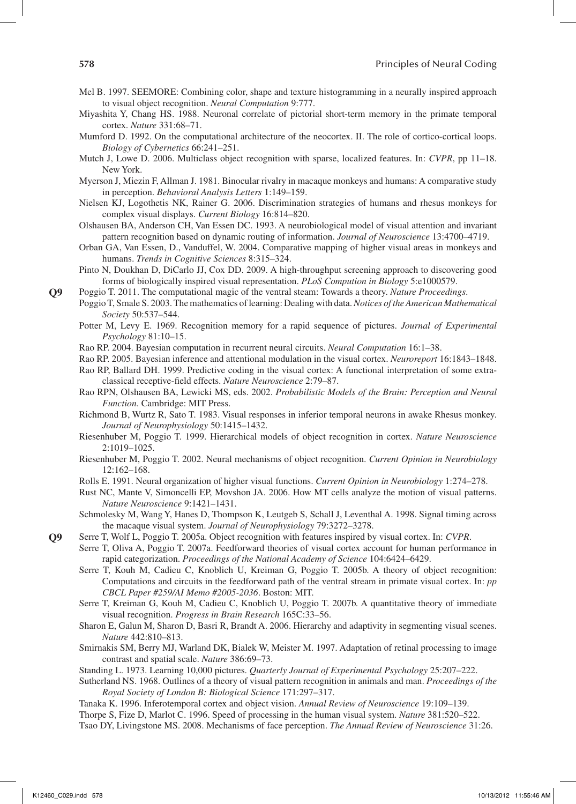- Mel B. 1997. SEEMORE: Combining color, shape and texture histogramming in a neurally inspired approach to visual object recognition. *Neural Computation* 9:777.
- Miyashita Y, Chang HS. 1988. Neuronal correlate of pictorial short-term memory in the primate temporal cortex. *Nature* 331:68–71.
- Mumford D. 1992. On the computational architecture of the neocortex. II. The role of cortico-cortical loops. *Biology of Cybernetics* 66:241–251.
- Mutch J, Lowe D. 2006. Multiclass object recognition with sparse, localized features. In: *CVPR*, pp 11–18. New York.
- Myerson J, Miezin F, Allman J. 1981. Binocular rivalry in macaque monkeys and humans: A comparative study in perception. *Behavioral Analysis Letters* 1:149–159.
- Nielsen KJ, Logothetis NK, Rainer G. 2006. Discrimination strategies of humans and rhesus monkeys for complex visual displays. *Current Biology* 16:814–820.
- Olshausen BA, Anderson CH, Van Essen DC. 1993. A neurobiological model of visual attention and invariant pattern recognition based on dynamic routing of information. *Journal of Neuroscience* 13:4700–4719.
- Orban GA, Van Essen, D., Vanduffel, W. 2004. Comparative mapping of higher visual areas in monkeys and humans. *Trends in Cognitive Sciences* 8:315–324.
- Pinto N, Doukhan D, DiCarlo JJ, Cox DD. 2009. A high-throughput screening approach to discovering good forms of biologically inspired visual representation. *PLoS Compution in Biology* 5:e1000579.
- Poggio T. 2011. The computational magic of the ventral steam: Towards a theory. *Nature Proceedings*.
- Poggio T, Smale S. 2003. The mathematics of learning: Dealing with data. *Notices of the American Mathematical Society* 50:537–544.
- Potter M, Levy E. 1969. Recognition memory for a rapid sequence of pictures. *Journal of Experimental Psychology* 81:10–15.
- Rao RP. 2004. Bayesian computation in recurrent neural circuits. *Neural Computation* 16:1–38.
- Rao RP. 2005. Bayesian inference and attentional modulation in the visual cortex. *Neuroreport* 16:1843–1848.
- Rao RP, Ballard DH. 1999. Predictive coding in the visual cortex: A functional interpretation of some extraclassical receptive-field effects. *Nature Neuroscience* 2:79–87.
- Rao RPN, Olshausen BA, Lewicki MS, eds. 2002. *Probabilistic Models of the Brain: Perception and Neural Function*. Cambridge: MIT Press.
- Richmond B, Wurtz R, Sato T. 1983. Visual responses in inferior temporal neurons in awake Rhesus monkey. *Journal of Neurophysiology* 50:1415–1432.
- Riesenhuber M, Poggio T. 1999. Hierarchical models of object recognition in cortex. *Nature Neuroscience* 2:1019–1025.
- Riesenhuber M, Poggio T. 2002. Neural mechanisms of object recognition. *Current Opinion in Neurobiology* 12:162–168.
- Rolls E. 1991. Neural organization of higher visual functions. *Current Opinion in Neurobiology* 1:274–278.
- Rust NC, Mante V, Simoncelli EP, Movshon JA. 2006. How MT cells analyze the motion of visual patterns. *Nature Neuroscience* 9:1421–1431.
- Schmolesky M, Wang Y, Hanes D, Thompson K, Leutgeb S, Schall J, Leventhal A. 1998. Signal timing across the macaque visual system. *Journal of Neurophysiology* 79:3272–3278.
- Serre T, Wolf L, Poggio T. 2005a. Object recognition with features inspired by visual cortex. In: *CVPR*.
	- Serre T, Oliva A, Poggio T. 2007a. Feedforward theories of visual cortex account for human performance in rapid categorization. *Proceedings of the National Academy of Science* 104:6424–6429.
	- Serre T, Kouh M, Cadieu C, Knoblich U, Kreiman G, Poggio T. 2005b. A theory of object recognition: Computations and circuits in the feedforward path of the ventral stream in primate visual cortex. In: *pp CBCL Paper #259/AI Memo #2005-2036*. Boston: MIT.
	- Serre T, Kreiman G, Kouh M, Cadieu C, Knoblich U, Poggio T. 2007b. A quantitative theory of immediate visual recognition. *Progress in Brain Research* 165C:33–56.
	- Sharon E, Galun M, Sharon D, Basri R, Brandt A. 2006. Hierarchy and adaptivity in segmenting visual scenes. *Nature* 442:810–813.
	- Smirnakis SM, Berry MJ, Warland DK, Bialek W, Meister M. 1997. Adaptation of retinal processing to image contrast and spatial scale. *Nature* 386:69–73.
	- Standing L. 1973. Learning 10,000 pictures. *Quarterly Journal of Experimental Psychology* 25:207–222.
	- Sutherland NS. 1968. Outlines of a theory of visual pattern recognition in animals and man. *Proceedings of the Royal Society of London B: Biological Science* 171:297–317.
	- Tanaka K. 1996. Inferotemporal cortex and object vision. *Annual Review of Neuroscience* 19:109–139. Thorpe S, Fize D, Marlot C. 1996. Speed of processing in the human visual system. *Nature* 381:520–522. Tsao DY, Livingstone MS. 2008. Mechanisms of face perception. *The Annual Review of Neuroscience* 31:26.

**Q9**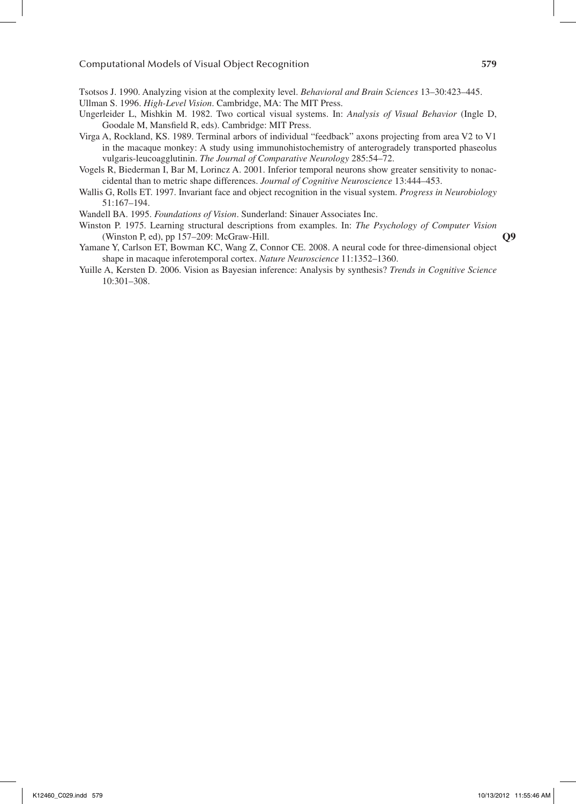Tsotsos J. 1990. Analyzing vision at the complexity level. *Behavioral and Brain Sciences* 13–30:423–445.

Ullman S. 1996. *High-Level Vision*. Cambridge, MA: The MIT Press.

- Ungerleider L, Mishkin M. 1982. Two cortical visual systems. In: *Analysis of Visual Behavior* (Ingle D, Goodale M, Mansfield R, eds). Cambridge: MIT Press.
- Virga A, Rockland, KS. 1989. Terminal arbors of individual "feedback" axons projecting from area V2 to V1 in the macaque monkey: A study using immunohistochemistry of anterogradely transported phaseolus vulgaris-leucoagglutinin. *The Journal of Comparative Neurology* 285:54–72.

Vogels R, Biederman I, Bar M, Lorincz A. 2001. Inferior temporal neurons show greater sensitivity to nonaccidental than to metric shape differences. *Journal of Cognitive Neuroscience* 13:444–453.

- Wallis G, Rolls ET. 1997. Invariant face and object recognition in the visual system. *Progress in Neurobiology* 51:167–194.
- Wandell BA. 1995. *Foundations of Vision*. Sunderland: Sinauer Associates Inc.
- Winston P. 1975. Learning structural descriptions from examples. In: *The Psychology of Computer Vision* (Winston P, ed), pp 157–209: McGraw-Hill.
- Yamane Y, Carlson ET, Bowman KC, Wang Z, Connor CE. 2008. A neural code for three-dimensional object shape in macaque inferotemporal cortex. *Nature Neuroscience* 11:1352–1360.
- Yuille A, Kersten D. 2006. Vision as Bayesian inference: Analysis by synthesis? *Trends in Cognitive Science* 10:301–308.